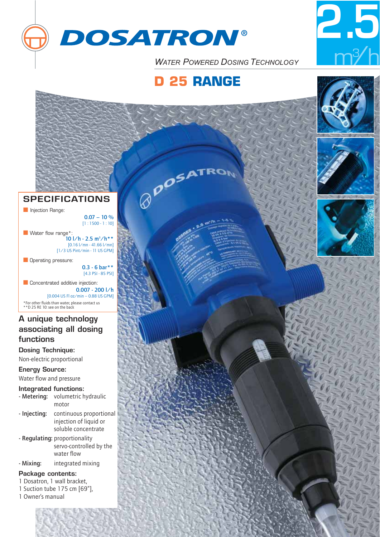



**WATER POWERED DOSING TECHNOLOGY** 

# **D 25 RANGE**

**BROSATRON** 



# **SPECIFICATIONS**

**■** Injection Range:

 $0.07 - 10 %$  $[1:1500 - 1:10]$ 

■ Water flow range\*:  $10$   $1/h - 2.5$  m<sup>3</sup> $/h**$ [0.16 l/mn - 41.66 l/mn] [1/3 US Pint/min - 11 US GPM]

**Derating pressure:** 

0.3 - 6 bar\*\* [4.3 PSI - 85 PSI]

■ Concentrated additive injection: 0.007 - 200 l/h [0.004 US Fl oz/min – 0.88 US GPM] \*For other fluids than water, please contact us \*\*D 25 RE 10: see on the back

# **A unique technology associating all dosing functions**

**Dosing Technique:**

Non-electric proportional

### **Energy Source:** Water flow and pressure

**Integrated functions:**

- Metering: volumetric hydraulic motor
- Injecting: continuous proportional injection of liquid or soluble concentrate
- Regulating: proportionality servo-controlled by the water flow
- Mixing: integrated mixing

### **Package contents:**

- 1 Dosatron, 1 wall bracket,
- 1 Suction tube 175 cm [69"],
- 1 Owner's manual